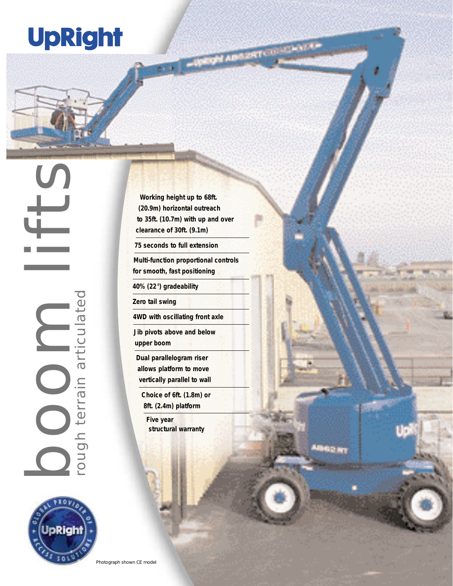## **UpRight**

**Working height up to 68ft. (20.9m) horizontal outreach to 35ft. (10.7m) with up and over clearance of 30ft. (9.1m)**

**THE PEACHTREE INC.** 

92 m

**75 seconds to full extension**

**Multi-function proportional controls for smooth, fast positioning**

**40% (22°) gradeability**

**Zero tail swing**

**4WD with oscillating front axle**

**Jib pivots above and below upper boom**

**Dual parallelogram riser allows platform to move vertically parallel to wall**

**Choice of 6ft. (1.8m) or 8ft. (2.4m) platform**

**Five year structural warranty**

pRiah 50

boom lifts

rough terrain articulated

ough terrain articulated

Photograph shown CE model